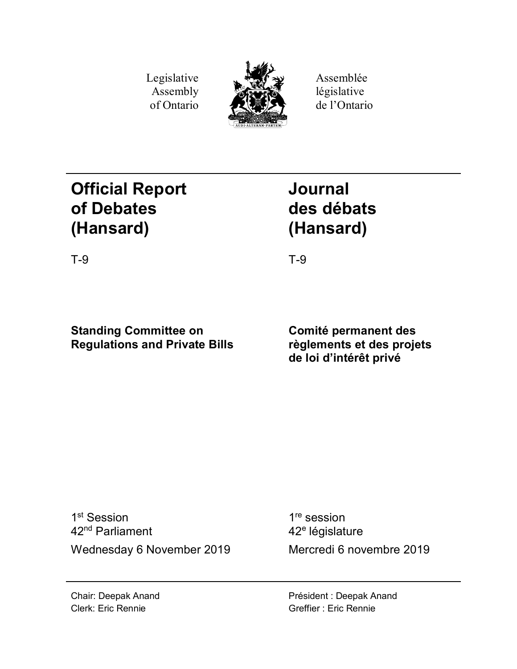Legislative Assembly of Ontario



Assemblée législative de l'Ontario

# **Official Report of Debates (Hansard)**

# **Journal des débats (Hansard)**

T-9 T-9

# **Standing Committee on Regulations and Private Bills**

**Comité permanent des règlements et des projets de loi d'intérêt privé**

1<sup>st</sup> Session 42nd Parliament Wednesday 6 November 2019 Mercredi 6 novembre 2019

1<sup>re</sup> session 42<sup>e</sup> législature

Président : Deepak Anand Greffier : Eric Rennie

Chair: Deepak Anand Clerk: Eric Rennie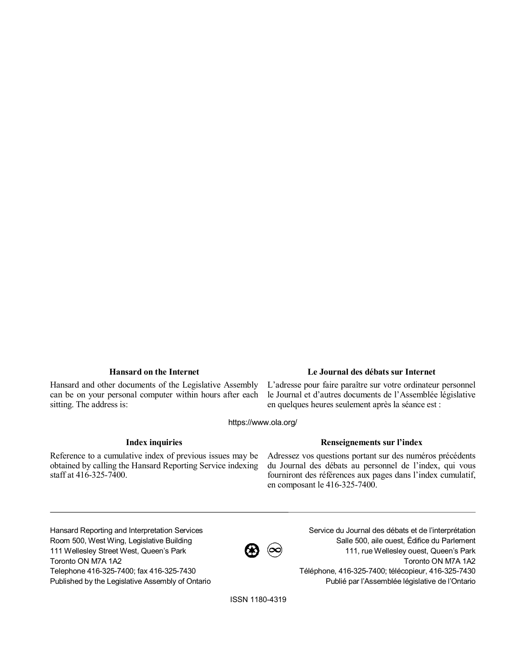Hansard and other documents of the Legislative Assembly can be on your personal computer within hours after each sitting. The address is:

## **Hansard on the Internet Le Journal des débats sur Internet**

L'adresse pour faire paraître sur votre ordinateur personnel le Journal et d'autres documents de l'Assemblée législative en quelques heures seulement après la séance est :

https://www.ola.org/

Reference to a cumulative index of previous issues may be obtained by calling the Hansard Reporting Service indexing staff at 416-325-7400.

### **Index inquiries Renseignements sur l'index**

Adressez vos questions portant sur des numéros précédents du Journal des débats au personnel de l'index, qui vous fourniront des références aux pages dans l'index cumulatif, en composant le 416-325-7400.

Hansard Reporting and Interpretation Services Room 500, West Wing, Legislative Building 111 Wellesley Street West, Queen's Park Toronto ON M7A 1A2 Telephone 416-325-7400; fax 416-325-7430 Published by the Legislative Assembly of Ontario

 $\bigcircled{B}$   $\circledcirc$ 

Service du Journal des débats et de l'interprétation Salle 500, aile ouest, Édifice du Parlement 111, rue Wellesley ouest, Queen's Park Toronto ON M7A 1A2 Téléphone, 416-325-7400; télécopieur, 416-325-7430 Publié par l'Assemblée législative de l'Ontario

ISSN 1180-4319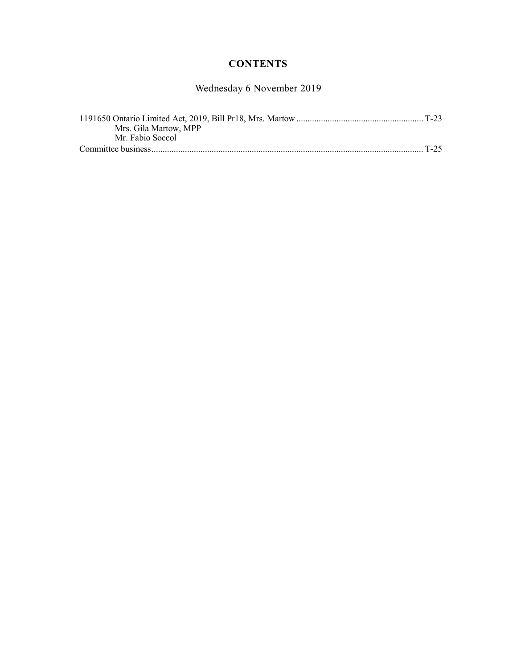# **CONTENTS**

Wednesday 6 November 2019

| Mrs. Gila Martow, MPP |  |
|-----------------------|--|
| Mr. Fabio Soccol      |  |
|                       |  |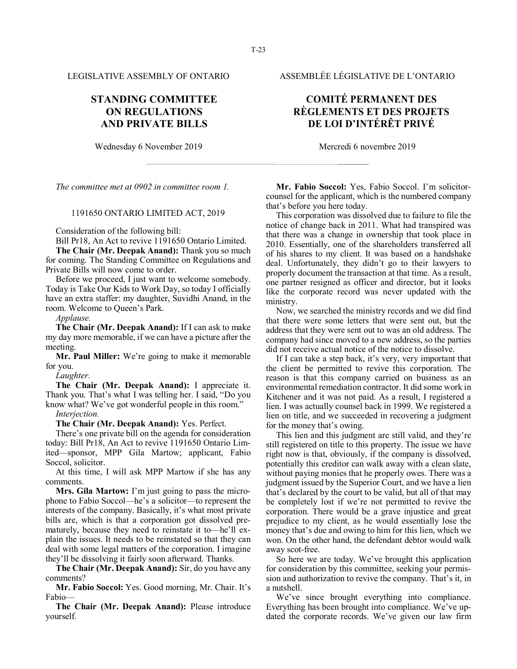## **STANDING COMMITTEE ON REGULATIONS AND PRIVATE BILLS**

Wednesday 6 November 2019 Mercredi 6 novembre 2019

*The committee met at 0902 in committee room 1.*

### 1191650 ONTARIO LIMITED ACT, 2019

Consideration of the following bill:

Bill Pr18, An Act to revive 1191650 Ontario Limited.

**The Chair (Mr. Deepak Anand):** Thank you so much for coming. The Standing Committee on Regulations and Private Bills will now come to order.

Before we proceed, I just want to welcome somebody. Today is Take Our Kids to Work Day, so today I officially have an extra staffer: my daughter, Suvidhi Anand, in the room. Welcome to Queen's Park.

*Applause.*

**The Chair (Mr. Deepak Anand):** If I can ask to make my day more memorable, if we can have a picture after the meeting.

**Mr. Paul Miller:** We're going to make it memorable for you.

*Laughter.*

**The Chair (Mr. Deepak Anand):** I appreciate it. Thank you. That's what I was telling her. I said, "Do you know what? We've got wonderful people in this room."

*Interjection.*

**The Chair (Mr. Deepak Anand):** Yes. Perfect.

There's one private bill on the agenda for consideration today: Bill Pr18, An Act to revive 1191650 Ontario Limited—sponsor, MPP Gila Martow; applicant, Fabio Soccol, solicitor.

At this time, I will ask MPP Martow if she has any comments.

**Mrs. Gila Martow:** I'm just going to pass the microphone to Fabio Soccol—he's a solicitor—to represent the interests of the company. Basically, it's what most private bills are, which is that a corporation got dissolved prematurely, because they need to reinstate it to—he'll explain the issues. It needs to be reinstated so that they can deal with some legal matters of the corporation. I imagine they'll be dissolving it fairly soon afterward. Thanks.

**The Chair (Mr. Deepak Anand):** Sir, do you have any comments?

**Mr. Fabio Soccol:** Yes. Good morning, Mr. Chair. It's Fabio—

**The Chair (Mr. Deepak Anand):** Please introduce yourself.

LEGISLATIVE ASSEMBLY OF ONTARIO ASSEMBLÉE LÉGISLATIVE DE L'ONTARIO

# **COMITÉ PERMANENT DES RÈGLEMENTS ET DES PROJETS DE LOI D'INTÉRÊT PRIVÉ**

**Mr. Fabio Soccol:** Yes, Fabio Soccol. I'm solicitorcounsel for the applicant, which is the numbered company that's before you here today.

This corporation was dissolved due to failure to file the notice of change back in 2011. What had transpired was that there was a change in ownership that took place in 2010. Essentially, one of the shareholders transferred all of his shares to my client. It was based on a handshake deal. Unfortunately, they didn't go to their lawyers to properly document the transaction at that time. As a result, one partner resigned as officer and director, but it looks like the corporate record was never updated with the ministry.

Now, we searched the ministry records and we did find that there were some letters that were sent out, but the address that they were sent out to was an old address. The company had since moved to a new address, so the parties did not receive actual notice of the notice to dissolve.

If I can take a step back, it's very, very important that the client be permitted to revive this corporation. The reason is that this company carried on business as an environmental remediation contractor. It did some work in Kitchener and it was not paid. As a result, I registered a lien. I was actually counsel back in 1999. We registered a lien on title, and we succeeded in recovering a judgment for the money that's owing.

This lien and this judgment are still valid, and they're still registered on title to this property. The issue we have right now is that, obviously, if the company is dissolved, potentially this creditor can walk away with a clean slate, without paying monies that he properly owes. There was a judgment issued by the Superior Court, and we have a lien that's declared by the court to be valid, but all of that may be completely lost if we're not permitted to revive the corporation. There would be a grave injustice and great prejudice to my client, as he would essentially lose the money that's due and owing to him for this lien, which we won. On the other hand, the defendant debtor would walk away scot-free.

So here we are today. We've brought this application for consideration by this committee, seeking your permission and authorization to revive the company. That's it, in a nutshell.

We've since brought everything into compliance. Everything has been brought into compliance. We've updated the corporate records. We've given our law firm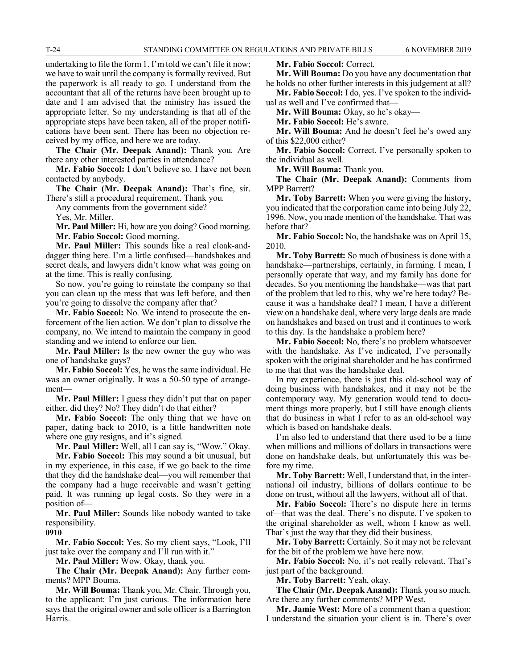undertaking to file the form 1. I'm told we can't file it now; we have to wait until the company is formally revived. But the paperwork is all ready to go. I understand from the accountant that all of the returns have been brought up to date and I am advised that the ministry has issued the appropriate letter. So my understanding is that all of the appropriate steps have been taken, all of the proper notifications have been sent. There has been no objection received by my office, and here we are today.

**The Chair (Mr. Deepak Anand):** Thank you. Are there any other interested parties in attendance?

**Mr. Fabio Soccol:** I don't believe so. I have not been contacted by anybody.

**The Chair (Mr. Deepak Anand):** That's fine, sir. There's still a procedural requirement. Thank you.

Any comments from the government side?

Yes, Mr. Miller.

**Mr. Paul Miller:** Hi, how are you doing? Good morning. **Mr. Fabio Soccol:** Good morning.

**Mr. Paul Miller:** This sounds like a real cloak-anddagger thing here. I'm a little confused—handshakes and secret deals, and lawyers didn't know what was going on at the time. This is really confusing.

So now, you're going to reinstate the company so that you can clean up the mess that was left before, and then you're going to dissolve the company after that?

**Mr. Fabio Soccol:** No. We intend to prosecute the enforcement of the lien action. We don't plan to dissolve the company, no. We intend to maintain the company in good standing and we intend to enforce our lien.

**Mr. Paul Miller:** Is the new owner the guy who was one of handshake guys?

**Mr. Fabio Soccol:** Yes, he was the same individual. He was an owner originally. It was a 50-50 type of arrangement—

**Mr. Paul Miller:** I guess they didn't put that on paper either, did they? No? They didn't do that either?

**Mr. Fabio Soccol:** The only thing that we have on paper, dating back to 2010, is a little handwritten note where one guy resigns, and it's signed.

**Mr. Paul Miller:** Well, all I can say is, "Wow." Okay.

**Mr. Fabio Soccol:** This may sound a bit unusual, but in my experience, in this case, if we go back to the time that they did the handshake deal—you will remember that the company had a huge receivable and wasn't getting paid. It was running up legal costs. So they were in a position of—

**Mr. Paul Miller:** Sounds like nobody wanted to take responsibility.

**0910**

**Mr. Fabio Soccol:** Yes. So my client says, "Look, I'll just take over the company and I'll run with it."

**Mr. Paul Miller:** Wow. Okay, thank you.

**The Chair (Mr. Deepak Anand):** Any further comments? MPP Bouma.

**Mr. Will Bouma:** Thank you, Mr. Chair. Through you, to the applicant: I'm just curious. The information here says that the original owner and sole officer is a Barrington Harris.

**Mr. Fabio Soccol:** Correct.

**Mr. Will Bouma:** Do you have any documentation that he holds no other further interests in this judgement at all?

**Mr. Fabio Soccol:** I do, yes. I've spoken to the individual as well and I've confirmed that—

**Mr. Will Bouma:** Okay, so he's okay—

**Mr. Fabio Soccol:** He's aware.

**Mr. Will Bouma:** And he doesn't feel he's owed any of this \$22,000 either?

**Mr. Fabio Soccol:** Correct. I've personally spoken to the individual as well.

**Mr. Will Bouma:** Thank you.

**The Chair (Mr. Deepak Anand):** Comments from MPP Barrett?

**Mr. Toby Barrett:** When you were giving the history, you indicated that the corporation came into being July 22, 1996. Now, you made mention of the handshake. That was before that?

**Mr. Fabio Soccol:** No, the handshake was on April 15, 2010.

**Mr. Toby Barrett:** So much of business is done with a handshake—partnerships, certainly, in farming. I mean, I personally operate that way, and my family has done for decades. So you mentioning the handshake—was that part of the problem that led to this, why we're here today? Because it was a handshake deal? I mean, I have a different view on a handshake deal, where very large deals are made on handshakes and based on trust and it continues to work to this day. Is the handshake a problem here?

**Mr. Fabio Soccol:** No, there's no problem whatsoever with the handshake. As I've indicated, I've personally spoken with the original shareholder and he has confirmed to me that that was the handshake deal.

In my experience, there is just this old-school way of doing business with handshakes, and it may not be the contemporary way. My generation would tend to document things more properly, but I still have enough clients that do business in what I refer to as an old-school way which is based on handshake deals.

I'm also led to understand that there used to be a time when millions and millions of dollars in transactions were done on handshake deals, but unfortunately this was before my time.

**Mr. Toby Barrett:** Well, I understand that, in the international oil industry, billions of dollars continue to be done on trust, without all the lawyers, without all of that.

**Mr. Fabio Soccol:** There's no dispute here in terms of—that was the deal. There's no dispute. I've spoken to the original shareholder as well, whom I know as well. That's just the way that they did their business.

**Mr. Toby Barrett:** Certainly. So it may not be relevant for the bit of the problem we have here now.

**Mr. Fabio Soccol:** No, it's not really relevant. That's just part of the background.

**Mr. Toby Barrett:** Yeah, okay.

**The Chair (Mr. Deepak Anand):** Thank you so much. Are there any further comments? MPP West.

**Mr. Jamie West:** More of a comment than a question: I understand the situation your client is in. There's over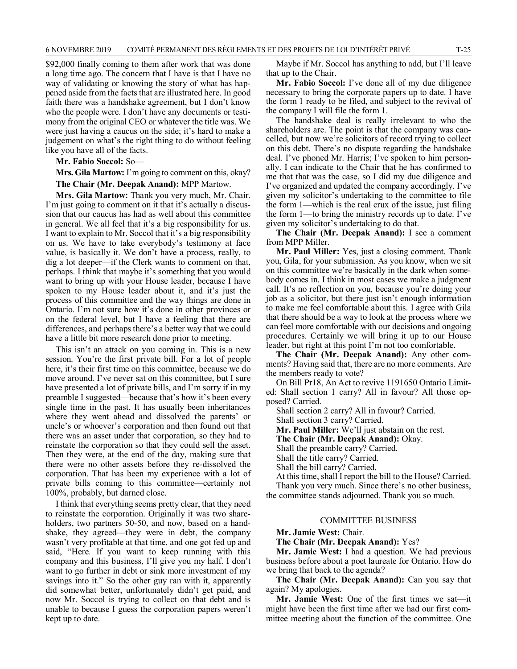\$92,000 finally coming to them after work that was done a long time ago. The concern that I have is that I have no way of validating or knowing the story of what has happened aside from the facts that are illustrated here. In good faith there was a handshake agreement, but I don't know who the people were. I don't have any documents or testimony from the original CEO or whatever the title was. We were just having a caucus on the side; it's hard to make a judgement on what's the right thing to do without feeling like you have all of the facts.

**Mr. Fabio Soccol:** So—

**Mrs. Gila Martow:** I'm going to comment on this, okay? **The Chair (Mr. Deepak Anand):** MPP Martow.

**Mrs. Gila Martow:** Thank you very much, Mr. Chair. I'm just going to comment on it that it's actually a discussion that our caucus has had as well about this committee in general. We all feel that it's a big responsibility for us. I want to explain to Mr. Soccol that it's a big responsibility on us. We have to take everybody's testimony at face value, is basically it. We don't have a process, really, to dig a lot deeper—if the Clerk wants to comment on that, perhaps. I think that maybe it's something that you would want to bring up with your House leader, because I have spoken to my House leader about it, and it's just the process of this committee and the way things are done in Ontario. I'm not sure how it's done in other provinces or on the federal level, but I have a feeling that there are differences, and perhaps there's a better way that we could have a little bit more research done prior to meeting.

This isn't an attack on you coming in. This is a new session. You're the first private bill. For a lot of people here, it's their first time on this committee, because we do move around. I've never sat on this committee, but I sure have presented a lot of private bills, and I'm sorry if in my preamble I suggested—because that's how it's been every single time in the past. It has usually been inheritances where they went ahead and dissolved the parents' or uncle's or whoever's corporation and then found out that there was an asset under that corporation, so they had to reinstate the corporation so that they could sell the asset. Then they were, at the end of the day, making sure that there were no other assets before they re-dissolved the corporation. That has been my experience with a lot of private bills coming to this committee—certainly not 100%, probably, but darned close.

I think that everything seems pretty clear, that they need to reinstate the corporation. Originally it was two shareholders, two partners 50-50, and now, based on a handshake, they agreed—they were in debt, the company wasn't very profitable at that time, and one got fed up and said, "Here. If you want to keep running with this company and this business, I'll give you my half. I don't want to go further in debt or sink more investment of my savings into it." So the other guy ran with it, apparently did somewhat better, unfortunately didn't get paid, and now Mr. Soccol is trying to collect on that debt and is unable to because I guess the corporation papers weren't kept up to date.

Maybe if Mr. Soccol has anything to add, but I'll leave that up to the Chair.

**Mr. Fabio Soccol:** I've done all of my due diligence necessary to bring the corporate papers up to date. I have the form 1 ready to be filed, and subject to the revival of the company I will file the form 1.

The handshake deal is really irrelevant to who the shareholders are. The point is that the company was cancelled, but now we're solicitors of record trying to collect on this debt. There's no dispute regarding the handshake deal. I've phoned Mr. Harris; I've spoken to him personally. I can indicate to the Chair that he has confirmed to me that that was the case, so I did my due diligence and I've organized and updated the company accordingly. I've given my solicitor's undertaking to the committee to file the form 1—which is the real crux of the issue, just filing the form 1—to bring the ministry records up to date. I've given my solicitor's undertaking to do that.

**The Chair (Mr. Deepak Anand):** I see a comment from MPP Miller.

**Mr. Paul Miller:** Yes, just a closing comment. Thank you, Gila, for your submission. As you know, when we sit on this committee we're basically in the dark when somebody comes in. I think in most cases we make a judgment call. It's no reflection on you, because you're doing your job as a solicitor, but there just isn't enough information to make me feel comfortable about this. I agree with Gila that there should be a way to look at the process where we can feel more comfortable with our decisions and ongoing procedures. Certainly we will bring it up to our House leader, but right at this point I'm not too comfortable.

**The Chair (Mr. Deepak Anand):** Any other comments? Having said that, there are no more comments. Are the members ready to vote?

On Bill Pr18, An Act to revive 1191650 Ontario Limited: Shall section 1 carry? All in favour? All those opposed? Carried.

Shall section 2 carry? All in favour? Carried.

Shall section 3 carry? Carried.

**Mr. Paul Miller:** We'll just abstain on the rest.

**The Chair (Mr. Deepak Anand):** Okay.

Shall the preamble carry? Carried.

Shall the title carry? Carried.

Shall the bill carry? Carried.

At this time, shall I report the bill to the House? Carried. Thank you very much. Since there's no other business, the committee stands adjourned. Thank you so much.

### COMMITTEE BUSINESS

**Mr. Jamie West:** Chair.

**The Chair (Mr. Deepak Anand):** Yes?

**Mr. Jamie West:** I had a question. We had previous business before about a poet laureate for Ontario. How do we bring that back to the agenda?

**The Chair (Mr. Deepak Anand):** Can you say that again? My apologies.

**Mr. Jamie West:** One of the first times we sat—it might have been the first time after we had our first committee meeting about the function of the committee. One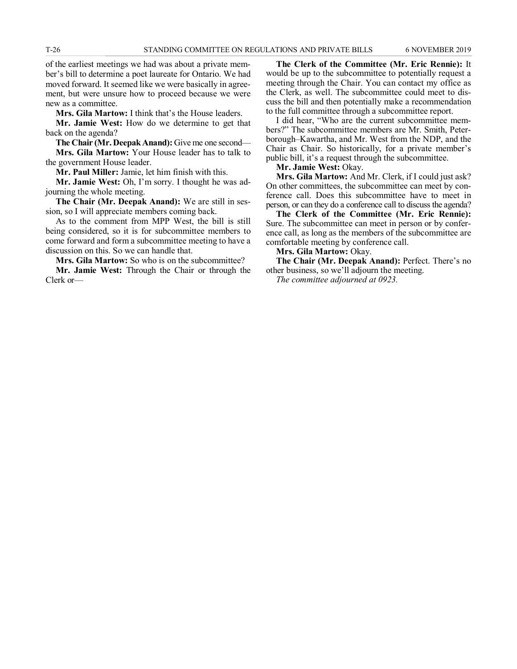of the earliest meetings we had was about a private member's bill to determine a poet laureate for Ontario. We had moved forward. It seemed like we were basically in agreement, but were unsure how to proceed because we were new as a committee.

**Mrs. Gila Martow:** I think that's the House leaders.

**Mr. Jamie West:** How do we determine to get that back on the agenda?

**The Chair (Mr. Deepak Anand):** Give me one second— **Mrs. Gila Martow:** Your House leader has to talk to the government House leader.

**Mr. Paul Miller:** Jamie, let him finish with this.

**Mr. Jamie West:** Oh, I'm sorry. I thought he was adjourning the whole meeting.

**The Chair (Mr. Deepak Anand):** We are still in session, so I will appreciate members coming back.

As to the comment from MPP West, the bill is still being considered, so it is for subcommittee members to come forward and form a subcommittee meeting to have a discussion on this. So we can handle that.

**Mrs. Gila Martow:** So who is on the subcommittee?

**Mr. Jamie West:** Through the Chair or through the Clerk or—

**The Clerk of the Committee (Mr. Eric Rennie):** It would be up to the subcommittee to potentially request a meeting through the Chair. You can contact my office as the Clerk, as well. The subcommittee could meet to discuss the bill and then potentially make a recommendation to the full committee through a subcommittee report.

I did hear, "Who are the current subcommittee members?" The subcommittee members are Mr. Smith, Peterborough–Kawartha, and Mr. West from the NDP, and the Chair as Chair. So historically, for a private member's public bill, it's a request through the subcommittee.

**Mr. Jamie West:** Okay.

**Mrs. Gila Martow:** And Mr. Clerk, if I could just ask? On other committees, the subcommittee can meet by conference call. Does this subcommittee have to meet in person, or can they do a conference call to discuss the agenda?

**The Clerk of the Committee (Mr. Eric Rennie):** Sure. The subcommittee can meet in person or by conference call, as long as the members of the subcommittee are comfortable meeting by conference call.

**Mrs. Gila Martow:** Okay.

**The Chair (Mr. Deepak Anand):** Perfect. There's no other business, so we'll adjourn the meeting.

*The committee adjourned at 0923.*